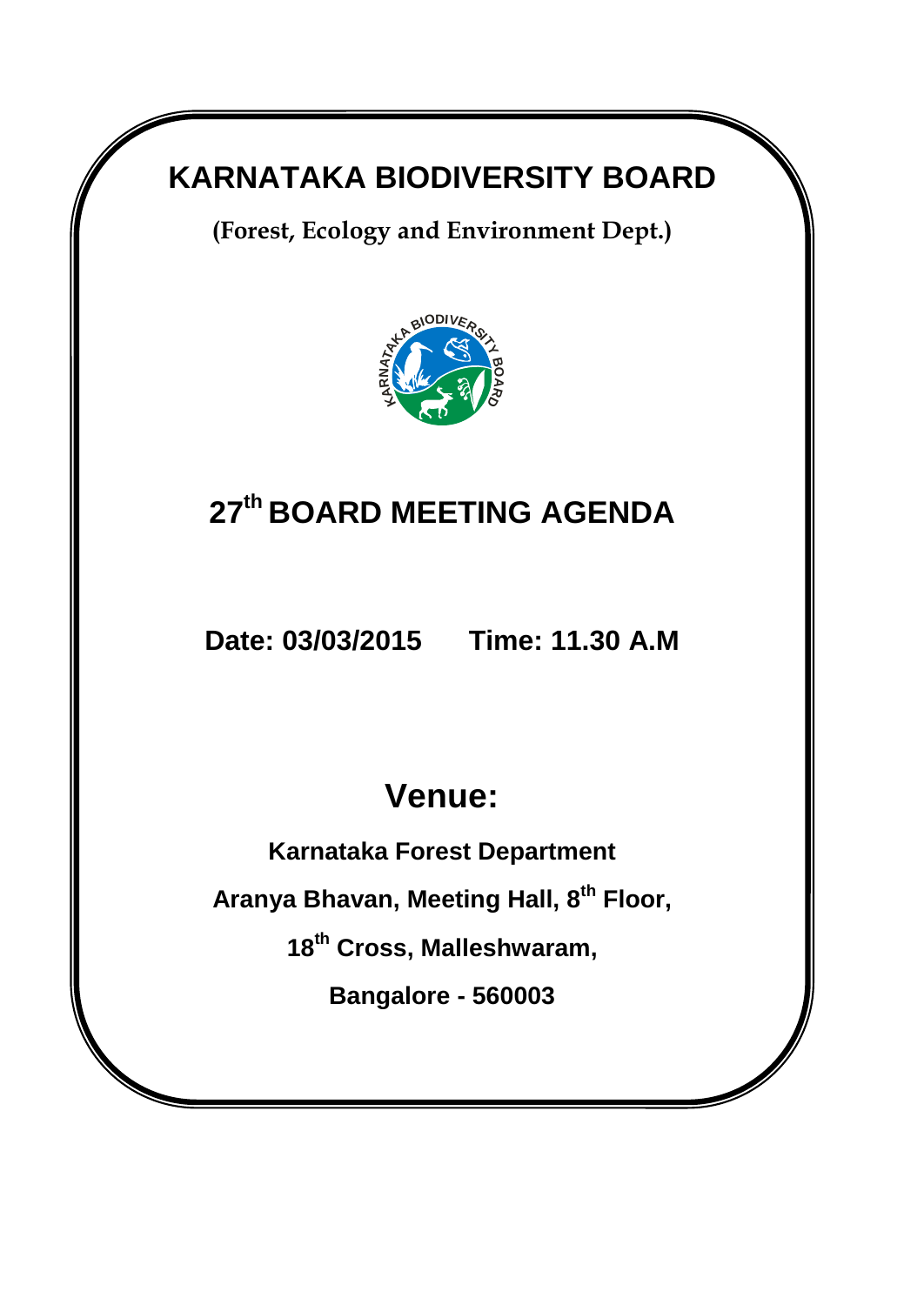## **KARNATAKA BIODIVERSITY BOARD**

**(Forest, Ecology and Environment Dept.)** 



## **27 th BOARD MEETING AGENDA**

**Date: 03/03/2015 Time: 11.30 A.M**

# **Venue:**

**Karnataka Forest Department**

**Aranya Bhavan, Meeting Hall, 8th Floor,** 

**18th Cross, Malleshwaram,**

**Bangalore - 560003**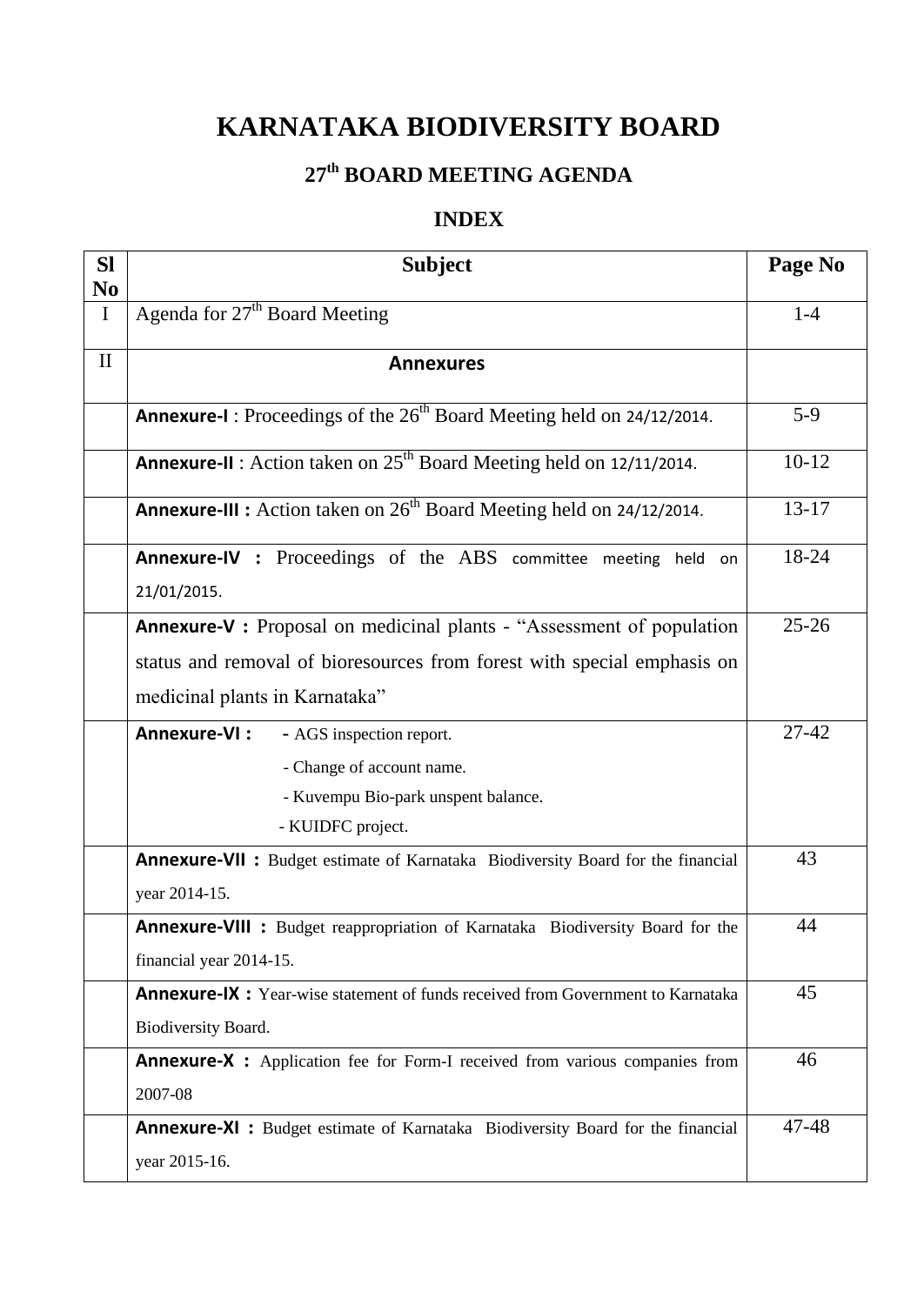## **KARNATAKA BIODIVERSITY BOARD**

## **27 th BOARD MEETING AGENDA**

### **INDEX**

| <b>SI</b>                  | <b>Subject</b>                                                                          | Page No   |
|----------------------------|-----------------------------------------------------------------------------------------|-----------|
| N <sub>0</sub><br>$\bf{I}$ | Agenda for 27 <sup>th</sup> Board Meeting                                               | $1-4$     |
| $\mathbf{I}$               | <b>Annexures</b>                                                                        |           |
|                            | <b>Annexure-I</b> : Proceedings of the $26th$ Board Meeting held on 24/12/2014.         | $5-9$     |
|                            | <b>Annexure-II</b> : Action taken on $25th$ Board Meeting held on 12/11/2014.           | $10-12$   |
|                            | <b>Annexure-III :</b> Action taken on $26th$ Board Meeting held on 24/12/2014.          | $13 - 17$ |
|                            | Annexure-IV : Proceedings of the ABS committee meeting held on<br>21/01/2015.           | 18-24     |
|                            | <b>Annexure-V</b> : Proposal on medicinal plants - "Assessment of population"           | $25 - 26$ |
|                            | status and removal of bioresources from forest with special emphasis on                 |           |
|                            | medicinal plants in Karnataka"                                                          |           |
|                            | Annexure-VI:<br>- AGS inspection report.                                                | $27 - 42$ |
|                            | - Change of account name.                                                               |           |
|                            | - Kuvempu Bio-park unspent balance.                                                     |           |
|                            | - KUIDFC project.                                                                       |           |
|                            | <b>Annexure-VII :</b> Budget estimate of Karnataka Biodiversity Board for the financial | 43        |
|                            | year 2014-15.                                                                           |           |
|                            | <b>Annexure-VIII :</b> Budget reappropriation of Karnataka Biodiversity Board for the   | 44        |
|                            | financial year 2014-15.                                                                 |           |
|                            | <b>Annexure-IX:</b> Year-wise statement of funds received from Government to Karnataka  | 45        |
|                            | Biodiversity Board.                                                                     |           |
|                            | <b>Annexure-X :</b> Application fee for Form-I received from various companies from     | 46        |
|                            | 2007-08                                                                                 |           |
|                            | <b>Annexure-XI:</b> Budget estimate of Karnataka Biodiversity Board for the financial   | 47-48     |
|                            | year 2015-16.                                                                           |           |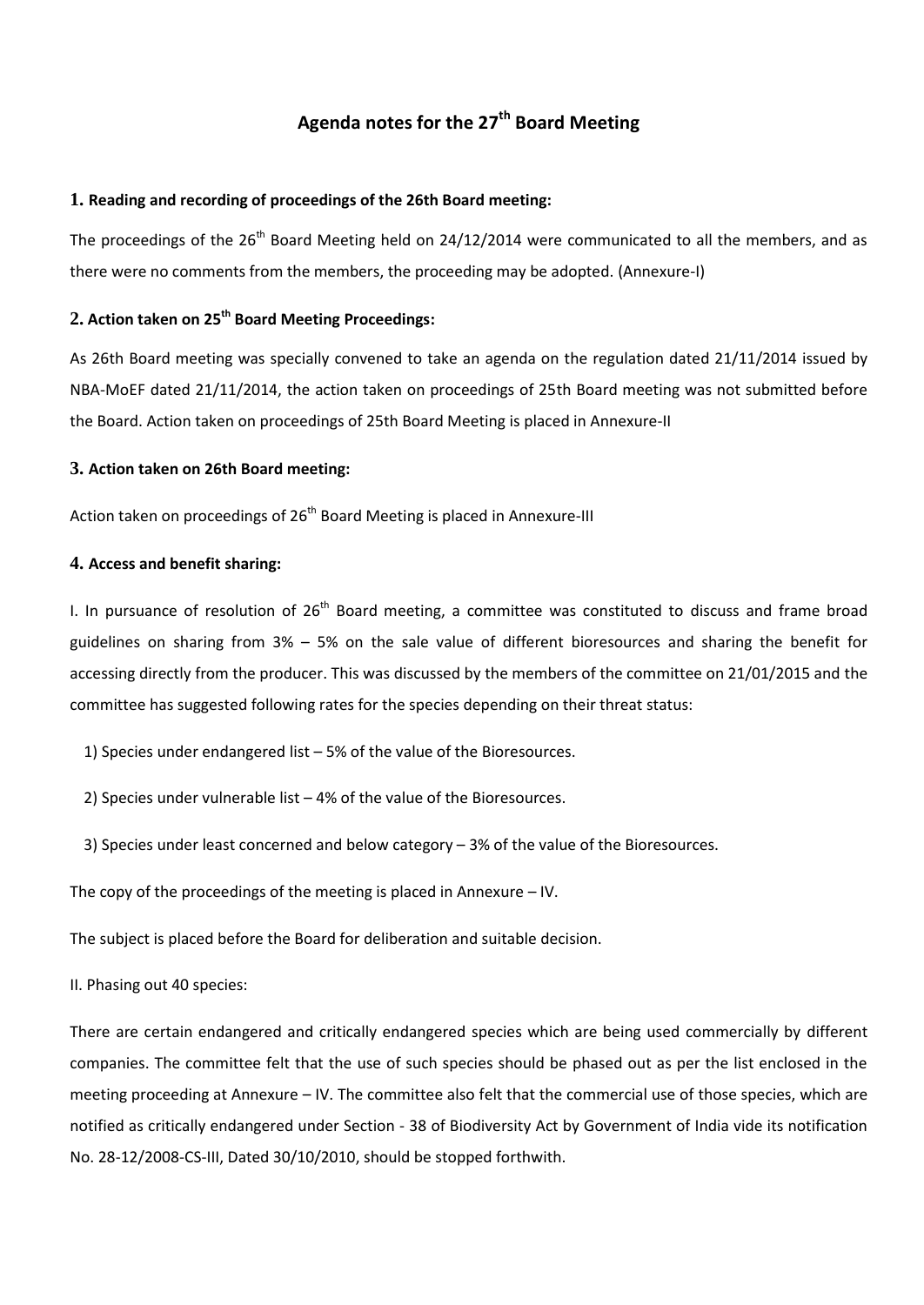### **Agenda notes for the 27 th Board Meeting**

#### **1. Reading and recording of proceedings of the 26th Board meeting:**

The proceedings of the 26<sup>th</sup> Board Meeting held on 24/12/2014 were communicated to all the members, and as there were no comments from the members, the proceeding may be adopted. (Annexure-I)

#### **2. Action taken on 25 th Board Meeting Proceedings:**

As 26th Board meeting was specially convened to take an agenda on the regulation dated 21/11/2014 issued by NBA-MoEF dated 21/11/2014, the action taken on proceedings of 25th Board meeting was not submitted before the Board. Action taken on proceedings of 25th Board Meeting is placed in Annexure-II

#### **3. Action taken on 26th Board meeting:**

Action taken on proceedings of 26<sup>th</sup> Board Meeting is placed in Annexure-III

#### **4. Access and benefit sharing:**

I. In pursuance of resolution of  $26<sup>th</sup>$  Board meeting, a committee was constituted to discuss and frame broad guidelines on sharing from 3% – 5% on the sale value of different bioresources and sharing the benefit for accessing directly from the producer. This was discussed by the members of the committee on 21/01/2015 and the committee has suggested following rates for the species depending on their threat status:

1) Species under endangered list – 5% of the value of the Bioresources.

2) Species under vulnerable list – 4% of the value of the Bioresources.

3) Species under least concerned and below category – 3% of the value of the Bioresources.

The copy of the proceedings of the meeting is placed in Annexure – IV.

The subject is placed before the Board for deliberation and suitable decision.

II. Phasing out 40 species:

There are certain endangered and critically endangered species which are being used commercially by different companies. The committee felt that the use of such species should be phased out as per the list enclosed in the meeting proceeding at Annexure – IV. The committee also felt that the commercial use of those species, which are notified as critically endangered under Section - 38 of Biodiversity Act by Government of India vide its notification No. 28-12/2008-CS-III, Dated 30/10/2010, should be stopped forthwith.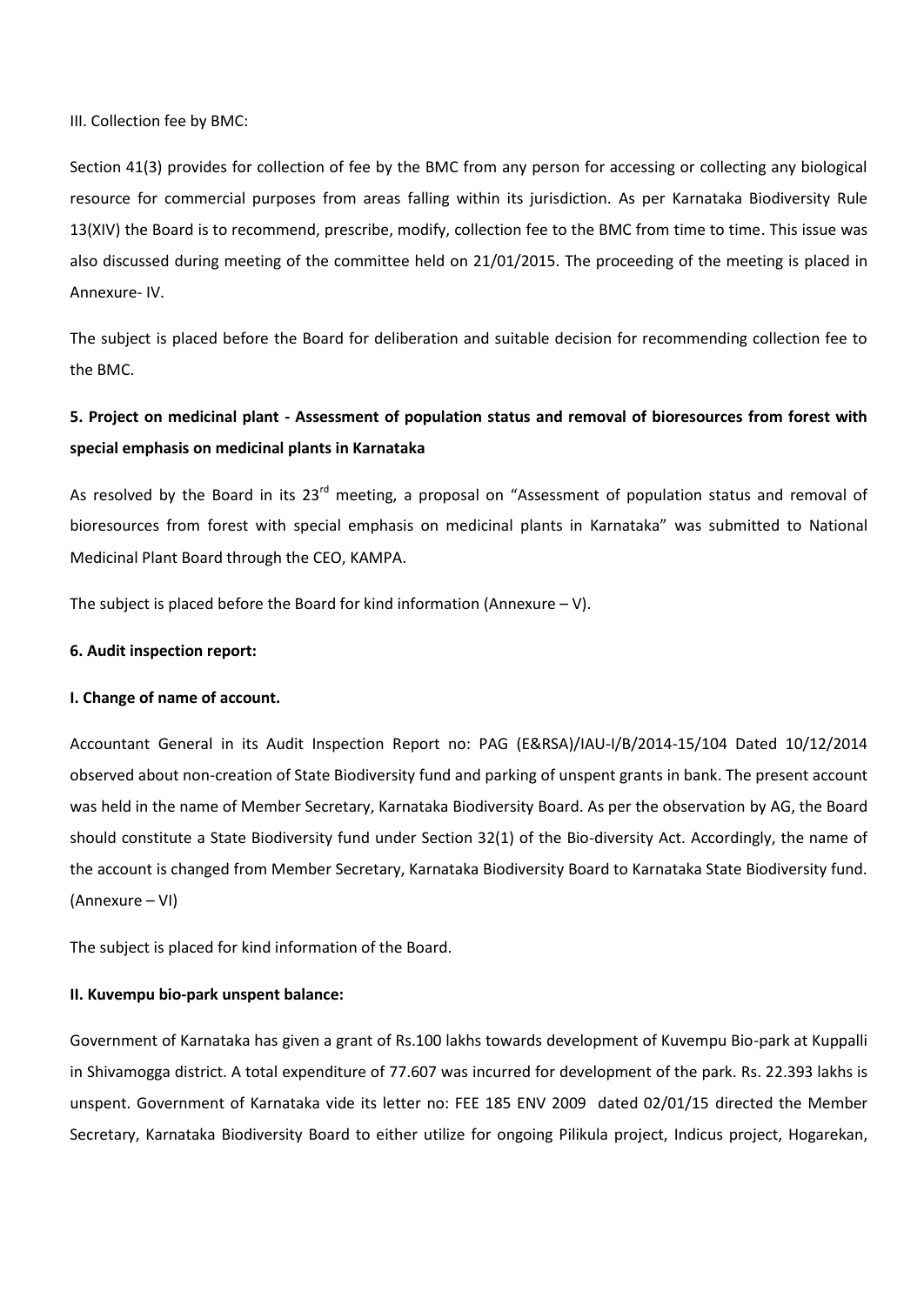III. Collection fee by BMC:

Section 41(3) provides for collection of fee by the BMC from any person for accessing or collecting any biological resource for commercial purposes from areas falling within its jurisdiction. As per Karnataka Biodiversity Rule 13(XIV) the Board is to recommend, prescribe, modify, collection fee to the BMC from time to time. This issue was also discussed during meeting of the committee held on 21/01/2015. The proceeding of the meeting is placed in Annexure- IV.

The subject is placed before the Board for deliberation and suitable decision for recommending collection fee to the BMC.

### **5. Project on medicinal plant - Assessment of population status and removal of bioresources from forest with special emphasis on medicinal plants in Karnataka**

As resolved by the Board in its 23<sup>rd</sup> meeting, a proposal on "Assessment of population status and removal of bioresources from forest with special emphasis on medicinal plants in Karnataka" was submitted to National Medicinal Plant Board through the CEO, KAMPA.

The subject is placed before the Board for kind information (Annexure  $-V$ ).

#### **6. Audit inspection report:**

#### **I. Change of name of account.**

Accountant General in its Audit Inspection Report no: PAG (E&RSA)/IAU-I/B/2014-15/104 Dated 10/12/2014 observed about non-creation of State Biodiversity fund and parking of unspent grants in bank. The present account was held in the name of Member Secretary, Karnataka Biodiversity Board. As per the observation by AG, the Board should constitute a State Biodiversity fund under Section 32(1) of the Bio-diversity Act. Accordingly, the name of the account is changed from Member Secretary, Karnataka Biodiversity Board to Karnataka State Biodiversity fund. (Annexure – VI)

The subject is placed for kind information of the Board.

#### **II. Kuvempu bio-park unspent balance:**

Government of Karnataka has given a grant of Rs.100 lakhs towards development of Kuvempu Bio-park at Kuppalli in Shivamogga district. A total expenditure of 77.607 was incurred for development of the park. Rs. 22.393 lakhs is unspent. Government of Karnataka vide its letter no: FEE 185 ENV 2009 dated 02/01/15 directed the Member Secretary, Karnataka Biodiversity Board to either utilize for ongoing Pilikula project, Indicus project, Hogarekan,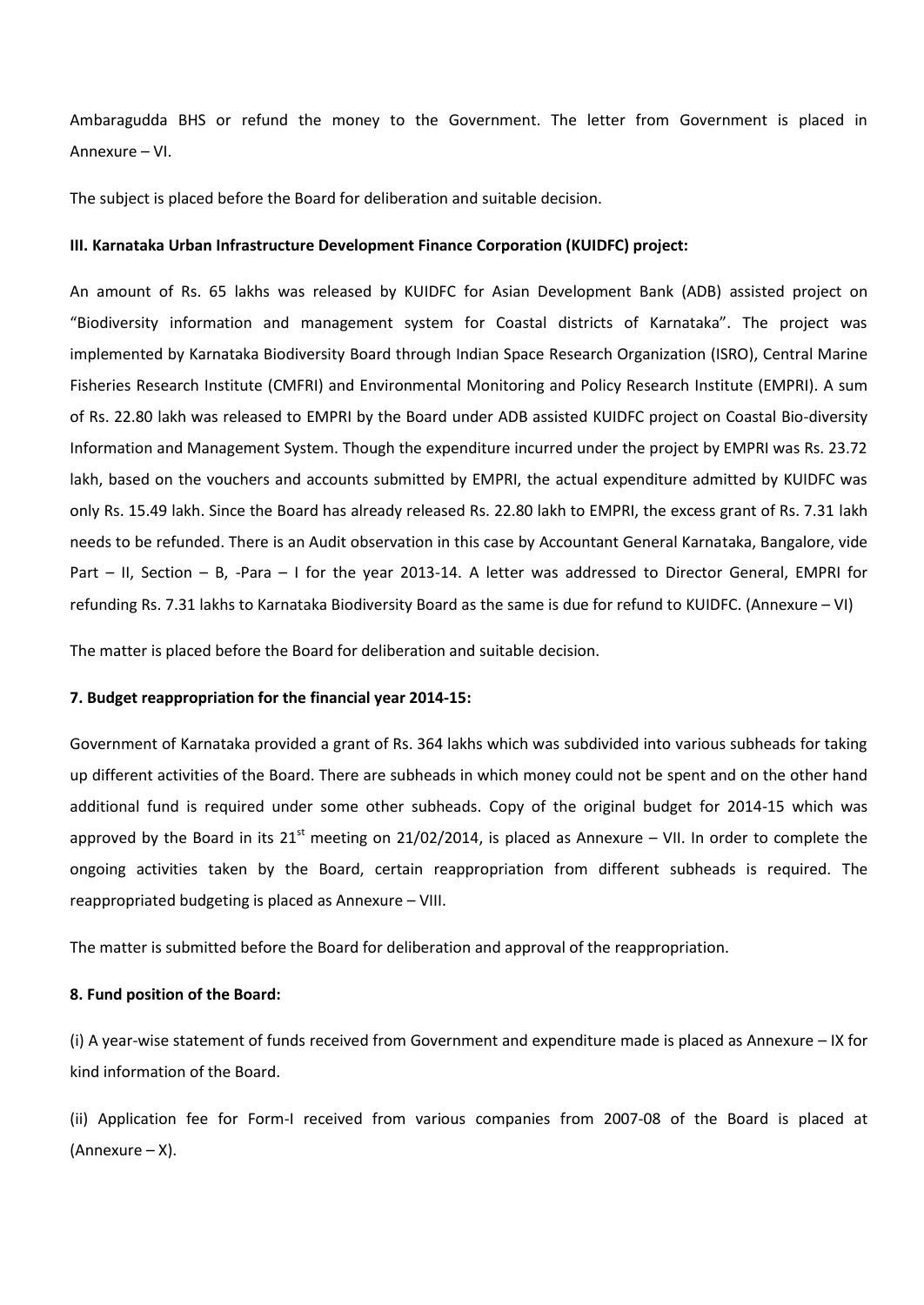Ambaragudda BHS or refund the money to the Government. The letter from Government is placed in Annexure – VI.

The subject is placed before the Board for deliberation and suitable decision.

#### **III. Karnataka Urban Infrastructure Development Finance Corporation (KUIDFC) project:**

An amount of Rs. 65 lakhs was released by KUIDFC for Asian Development Bank (ADB) assisted project on "Biodiversity information and management system for Coastal districts of Karnataka". The project was implemented by Karnataka Biodiversity Board through Indian Space Research Organization (ISRO), Central Marine Fisheries Research Institute (CMFRI) and Environmental Monitoring and Policy Research Institute (EMPRI). A sum of Rs. 22.80 lakh was released to EMPRI by the Board under ADB assisted KUIDFC project on Coastal Bio-diversity Information and Management System. Though the expenditure incurred under the project by EMPRI was Rs. 23.72 lakh, based on the vouchers and accounts submitted by EMPRI, the actual expenditure admitted by KUIDFC was only Rs. 15.49 lakh. Since the Board has already released Rs. 22.80 lakh to EMPRI, the excess grant of Rs. 7.31 lakh needs to be refunded. There is an Audit observation in this case by Accountant General Karnataka, Bangalore, vide Part – II, Section – B, -Para – I for the year 2013-14. A letter was addressed to Director General, EMPRI for refunding Rs. 7.31 lakhs to Karnataka Biodiversity Board as the same is due for refund to KUIDFC. (Annexure – VI)

The matter is placed before the Board for deliberation and suitable decision.

#### **7. Budget reappropriation for the financial year 2014-15:**

Government of Karnataka provided a grant of Rs. 364 lakhs which was subdivided into various subheads for taking up different activities of the Board. There are subheads in which money could not be spent and on the other hand additional fund is required under some other subheads. Copy of the original budget for 2014-15 which was approved by the Board in its  $21<sup>st</sup>$  meeting on 21/02/2014, is placed as Annexure – VII. In order to complete the ongoing activities taken by the Board, certain reappropriation from different subheads is required. The reappropriated budgeting is placed as Annexure – VIII.

The matter is submitted before the Board for deliberation and approval of the reappropriation.

#### **8. Fund position of the Board:**

(i) A year-wise statement of funds received from Government and expenditure made is placed as Annexure – IX for kind information of the Board.

(ii) Application fee for Form-I received from various companies from 2007-08 of the Board is placed at (Annexure – X).